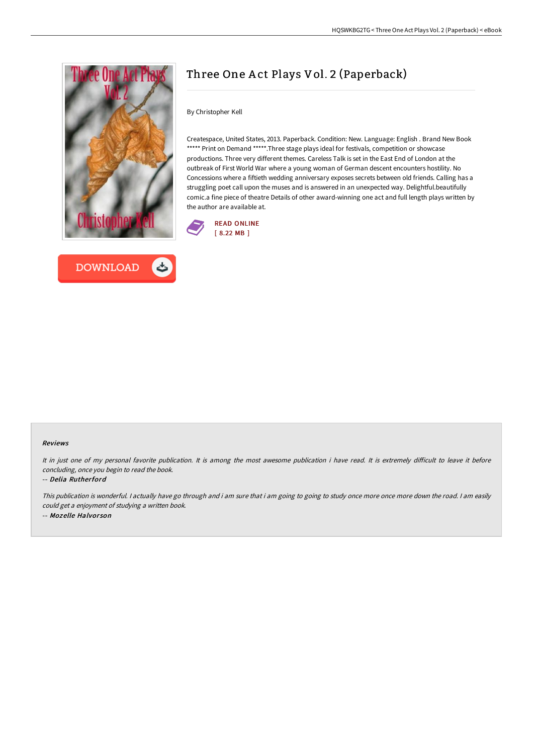



# Three One A ct Plays Vol. 2 (Paperback)

By Christopher Kell

Createspace, United States, 2013. Paperback. Condition: New. Language: English . Brand New Book \*\*\*\*\* Print on Demand \*\*\*\*\*. Three stage plays ideal for festivals, competition or showcase productions. Three very different themes. Careless Talk is set in the East End of London at the outbreak of First World War where a young woman of German descent encounters hostility. No Concessions where a fiftieth wedding anniversary exposes secrets between old friends. Calling has a struggling poet call upon the muses and is answered in an unexpected way. Delightful.beautifully comic.a fine piece of theatre Details of other award-winning one act and full length plays written by the author are available at.



#### Reviews

It in just one of my personal favorite publication. It is among the most awesome publication i have read. It is extremely difficult to leave it before concluding, once you begin to read the book.

-- Delia Rutherford

This publication is wonderful. <sup>I</sup> actually have go through and i am sure that i am going to going to study once more once more down the road. <sup>I</sup> am easily could get <sup>a</sup> enjoyment of studying <sup>a</sup> written book. -- Mozelle Halvor son